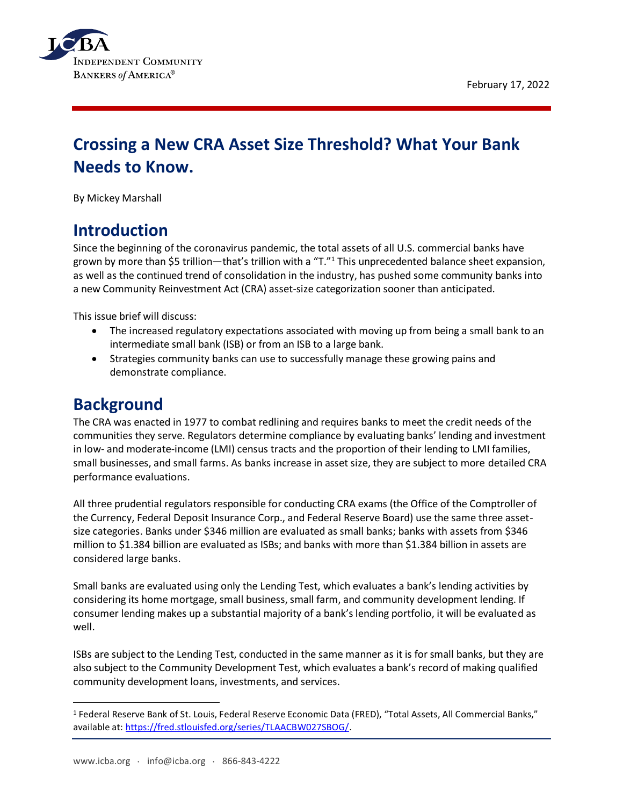



# **Crossing a New CRA Asset Size Threshold? What Your Bank Needs to Know.**

By Mickey Marshall

## **Introduction**

Since the beginning of the coronavirus pandemic, the total assets of all U.S. commercial banks have grown by more than \$5 trillion—that's trillion with a "T."<sup>1</sup> This unprecedented balance sheet expansion, as well as the continued trend of consolidation in the industry, has pushed some community banks into a new Community Reinvestment Act (CRA) asset-size categorization sooner than anticipated.

This issue brief will discuss:

- The increased regulatory expectations associated with moving up from being a small bank to an intermediate small bank (ISB) or from an ISB to a large bank.
- Strategies community banks can use to successfully manage these growing pains and demonstrate compliance.

#### **Background**

The CRA was enacted in 1977 to combat redlining and requires banks to meet the credit needs of the communities they serve. Regulators determine compliance by evaluating banks' lending and investment in low- and moderate-income (LMI) census tracts and the proportion of their lending to LMI families, small businesses, and small farms. As banks increase in asset size, they are subject to more detailed CRA performance evaluations.

All three prudential regulators responsible for conducting CRA exams (the Office of the Comptroller of the Currency, Federal Deposit Insurance Corp., and Federal Reserve Board) use the same three assetsize categories. Banks under \$346 million are evaluated as small banks; banks with assets from \$346 million to \$1.384 billion are evaluated as ISBs; and banks with more than \$1.384 billion in assets are considered large banks.

Small banks are evaluated using only the Lending Test, which evaluates a bank's lending activities by considering its home mortgage, small business, small farm, and community development lending. If consumer lending makes up a substantial majority of a bank's lending portfolio, it will be evaluated as well.

ISBs are subject to the Lending Test, conducted in the same manner as it is for small banks, but they are also subject to the Community Development Test, which evaluates a bank's record of making qualified community development loans, investments, and services.

<sup>1</sup> Federal Reserve Bank of St. Louis, Federal Reserve Economic Data (FRED), "Total Assets, All Commercial Banks," available at: [https://fred.stlouisfed.org/series/TLAACBW027SBOG/.](https://fred.stlouisfed.org/series/TLAACBW027SBOG/)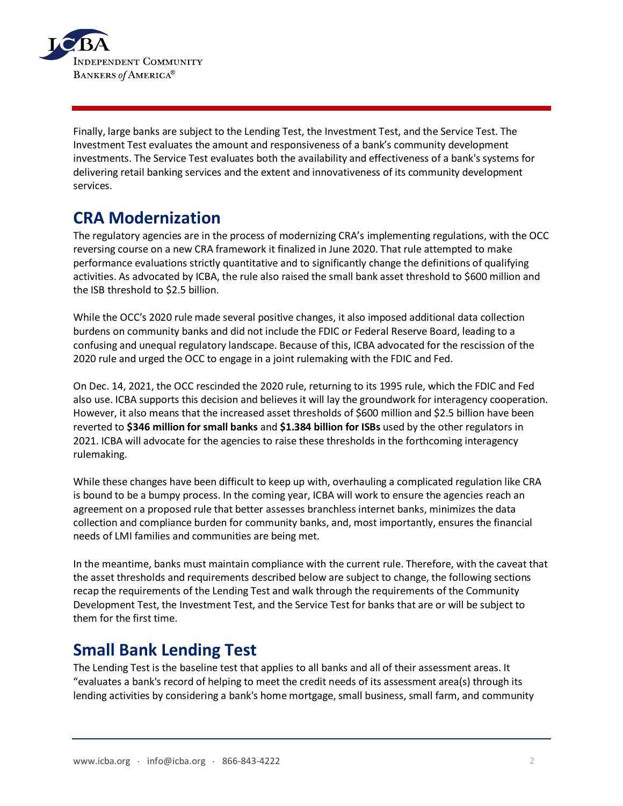

Finally, large banks are subject to the Lending Test, the Investment Test, and the Service Test. The Investment Test evaluates the amount and responsiveness of a bank's community development investments. The Service Test evaluates both the availability and effectiveness of a bank's systems for delivering retail banking services and the extent and innovativeness of its community development services.

## **CRA Modernization**

The regulatory agencies are in the process of modernizing CRA's implementing regulations, with the OCC reversing course on a new CRA framework it finalized in June 2020. That rule attempted to make performance evaluations strictly quantitative and to significantly change the definitions of qualifying activities. As advocated by ICBA, the rule also raised the small bank asset threshold to \$600 million and the ISB threshold to \$2.5 billion.

While the OCC's 2020 rule made several positive changes, it also imposed additional data collection burdens on community banks and did not include the FDIC or Federal Reserve Board, leading to a confusing and unequal regulatory landscape. Because of this, ICBA advocated for the rescission of the 2020 rule and urged the OCC to engage in a joint rulemaking with the FDIC and Fed.

On Dec. 14, 2021, the OCC rescinded the 2020 rule, returning to its 1995 rule, which the FDIC and Fed also use. ICBA supports this decision and believes it will lay the groundwork for interagency cooperation. However, it also means that the increased asset thresholds of \$600 million and \$2.5 billion have been reverted to **\$346 million for small banks** and **\$1.384 billion for ISBs** used by the other regulators in 2021. ICBA will advocate for the agencies to raise these thresholds in the forthcoming interagency rulemaking.

While these changes have been difficult to keep up with, overhauling a complicated regulation like CRA is bound to be a bumpy process. In the coming year, ICBA will work to ensure the agencies reach an agreement on a proposed rule that better assesses branchless internet banks, minimizes the data collection and compliance burden for community banks, and, most importantly, ensures the financial needs of LMI families and communities are being met.

In the meantime, banks must maintain compliance with the current rule. Therefore, with the caveat that the asset thresholds and requirements described below are subject to change, the following sections recap the requirements of the Lending Test and walk through the requirements of the Community Development Test, the Investment Test, and the Service Test for banks that are or will be subject to them for the first time.

### **Small Bank Lending Test**

The Lending Test is the baseline test that applies to all banks and all of their assessment areas. It "evaluates a bank's record of helping to meet the credit needs of its assessment area(s) through its lending activities by considering a bank's home mortgage, small business, small farm, and community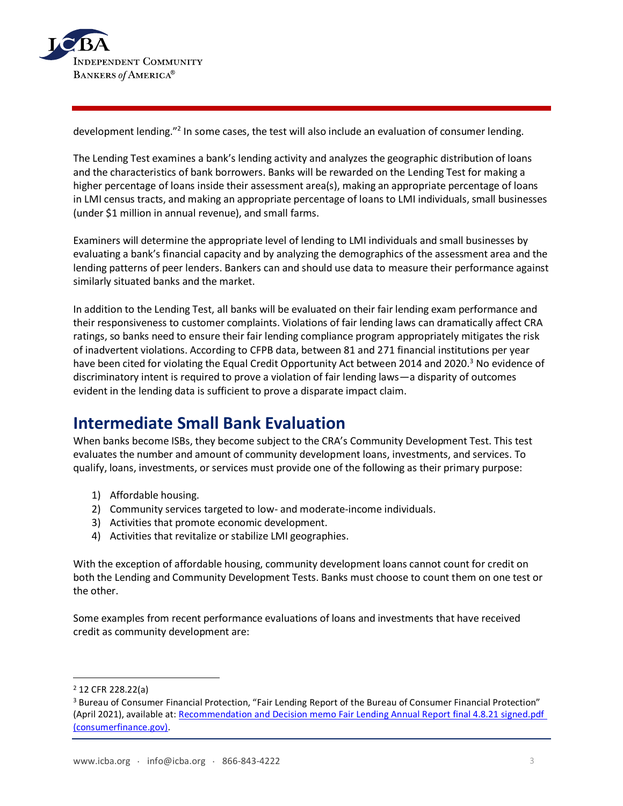

development lending."<sup>2</sup> In some cases, the test will also include an evaluation of consumer lending.

The Lending Test examines a bank's lending activity and analyzes the geographic distribution of loans and the characteristics of bank borrowers. Banks will be rewarded on the Lending Test for making a higher percentage of loans inside their assessment area(s), making an appropriate percentage of loans in LMI census tracts, and making an appropriate percentage of loans to LMI individuals, small businesses (under \$1 million in annual revenue), and small farms.

Examiners will determine the appropriate level of lending to LMI individuals and small businesses by evaluating a bank's financial capacity and by analyzing the demographics of the assessment area and the lending patterns of peer lenders. Bankers can and should use data to measure their performance against similarly situated banks and the market.

In addition to the Lending Test, all banks will be evaluated on their fair lending exam performance and their responsiveness to customer complaints. Violations of fair lending laws can dramatically affect CRA ratings, so banks need to ensure their fair lending compliance program appropriately mitigates the risk of inadvertent violations. According to CFPB data, between 81 and 271 financial institutions per year have been cited for violating the Equal Credit Opportunity Act between 2014 and 2020.<sup>3</sup> No evidence of discriminatory intent is required to prove a violation of fair lending laws—a disparity of outcomes evident in the lending data is sufficient to prove a disparate impact claim.

### **Intermediate Small Bank Evaluation**

When banks become ISBs, they become subject to the CRA's Community Development Test. This test evaluates the number and amount of community development loans, investments, and services. To qualify, loans, investments, or services must provide one of the following as their primary purpose:

- 1) Affordable housing.
- 2) Community services targeted to low- and moderate-income individuals.
- 3) Activities that promote economic development.
- 4) Activities that revitalize or stabilize LMI geographies.

With the exception of affordable housing, community development loans cannot count for credit on both the Lending and Community Development Tests. Banks must choose to count them on one test or the other.

Some examples from recent performance evaluations of loans and investments that have received credit as community development are:

<sup>2</sup> 12 CFR 228.22(a)

<sup>3</sup> Bureau of Consumer Financial Protection, "Fair Lending Report of the Bureau of Consumer Financial Protection" (April 2021), available at: [Recommendation and Decision memo Fair Lending Annual Report final 4.8.21 signed.pdf](https://files.consumerfinance.gov/f/documents/cfpb_2020-fair-lending_report_2021-04.pdf)  [\(consumerfinance.gov\).](https://files.consumerfinance.gov/f/documents/cfpb_2020-fair-lending_report_2021-04.pdf)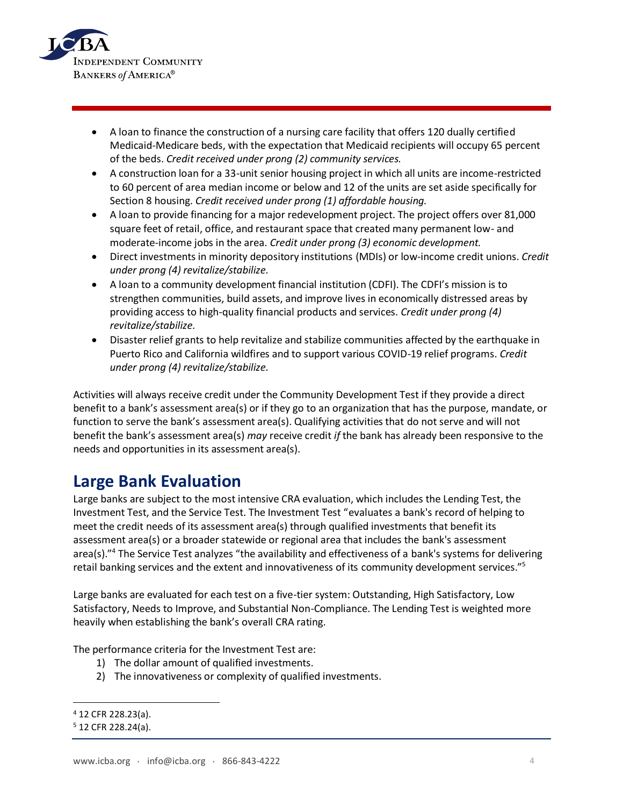

- A loan to finance the construction of a nursing care facility that offers 120 dually certified Medicaid-Medicare beds, with the expectation that Medicaid recipients will occupy 65 percent of the beds. *Credit received under prong (2) community services.*
- A construction loan for a 33-unit senior housing project in which all units are income-restricted to 60 percent of area median income or below and 12 of the units are set aside specifically for Section 8 housing. *Credit received under prong (1) affordable housing.*
- A loan to provide financing for a major redevelopment project. The project offers over 81,000 square feet of retail, office, and restaurant space that created many permanent low- and moderate-income jobs in the area. *Credit under prong (3) economic development.*
- Direct investments in minority depository institutions (MDIs) or low-income credit unions. *Credit under prong (4) revitalize/stabilize.*
- A loan to a community development financial institution (CDFI). The CDFI's mission is to strengthen communities, build assets, and improve lives in economically distressed areas by providing access to high-quality financial products and services. *Credit under prong (4) revitalize/stabilize.*
- Disaster relief grants to help revitalize and stabilize communities affected by the earthquake in Puerto Rico and California wildfires and to support various COVID-19 relief programs. *Credit under prong (4) revitalize/stabilize.*

Activities will always receive credit under the Community Development Test if they provide a direct benefit to a bank's assessment area(s) or if they go to an organization that has the purpose, mandate, or function to serve the bank's assessment area(s). Qualifying activities that do not serve and will not benefit the bank's assessment area(s) *may* receive credit *if* the bank has already been responsive to the needs and opportunities in its assessment area(s).

# **Large Bank Evaluation**

Large banks are subject to the most intensive CRA evaluation, which includes the Lending Test, the Investment Test, and the Service Test. The Investment Test "evaluates a bank's record of helping to meet the credit needs of its assessment area(s) through qualified investments that benefit its assessment area(s) or a broader statewide or regional area that includes the bank's assessment area(s)."<sup>4</sup> The Service Test analyzes "the availability and effectiveness of a bank's systems for delivering retail banking services and the extent and innovativeness of its community development services."<sup>5</sup>

Large banks are evaluated for each test on a five-tier system: Outstanding, High Satisfactory, Low Satisfactory, Needs to Improve, and Substantial Non-Compliance. The Lending Test is weighted more heavily when establishing the bank's overall CRA rating.

The performance criteria for the Investment Test are:

- 1) The dollar amount of qualified investments.
- 2) The innovativeness or complexity of qualified investments.

<sup>4</sup> 12 CFR 228.23(a).

<sup>5</sup> 12 CFR 228.24(a).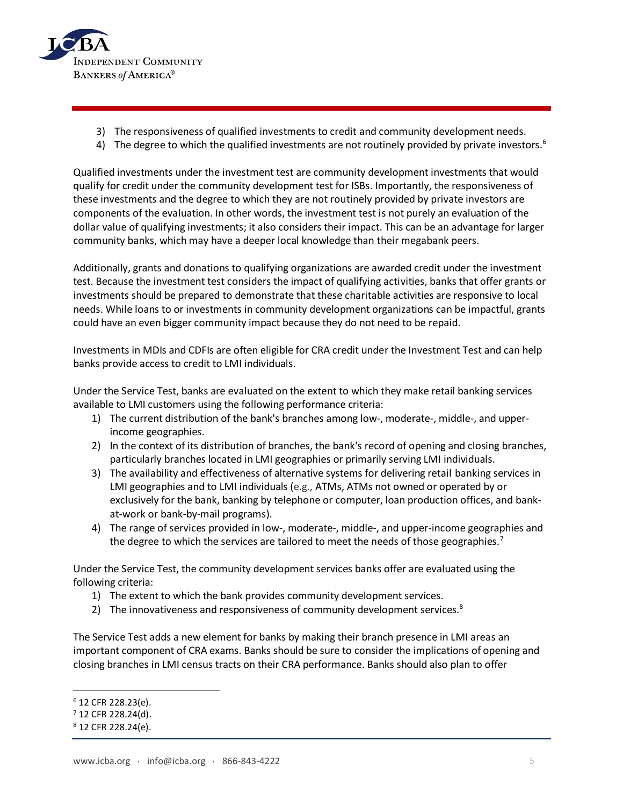

- 3) The responsiveness of qualified investments to credit and community development needs.
- 4) The degree to which the qualified investments are not routinely provided by private investors.<sup>6</sup>

Qualified investments under the investment test are community development investments that would qualify for credit under the community development test for ISBs. Importantly, the responsiveness of these investments and the degree to which they are not routinely provided by private investors are components of the evaluation. In other words, the investment test is not purely an evaluation of the dollar value of qualifying investments; it also considers their impact. This can be an advantage for larger community banks, which may have a deeper local knowledge than their megabank peers.

Additionally, grants and donations to qualifying organizations are awarded credit under the investment test. Because the investment test considers the impact of qualifying activities, banks that offer grants or investments should be prepared to demonstrate that these charitable activities are responsive to local needs. While loans to or investments in community development organizations can be impactful, grants could have an even bigger community impact because they do not need to be repaid.

Investments in MDIs and CDFIs are often eligible for CRA credit under the Investment Test and can help banks provide access to credit to LMI individuals.

Under the Service Test, banks are evaluated on the extent to which they make retail banking services available to LMI customers using the following performance criteria:

- 1) The current distribution of the bank's branches among low-, moderate-, middle-, and upperincome geographies.
- 2) In the context of its distribution of branches, the bank's record of opening and closing branches, particularly branches located in LMI geographies or primarily serving LMI individuals.
- 3) The availability and effectiveness of alternative systems for delivering retail banking services in LMI geographies and to LMI individuals (e.g., ATMs, ATMs not owned or operated by or exclusively for the bank, banking by telephone or computer, loan production offices, and bankat-work or bank-by-mail programs).
- 4) The range of services provided in low-, moderate-, middle-, and upper-income geographies and the degree to which the services are tailored to meet the needs of those geographies.<sup>7</sup>

Under the Service Test, the community development services banks offer are evaluated using the following criteria:

- 1) The extent to which the bank provides community development services.
- 2) The innovativeness and responsiveness of community development services. $8$

The Service Test adds a new element for banks by making their branch presence in LMI areas an important component of CRA exams. Banks should be sure to consider the implications of opening and closing branches in LMI census tracts on their CRA performance. Banks should also plan to offer

<sup>6</sup> 12 CFR 228.23(e).

 $7$  12 CFR 228.24(d).

<sup>8</sup> 12 CFR 228.24(e).